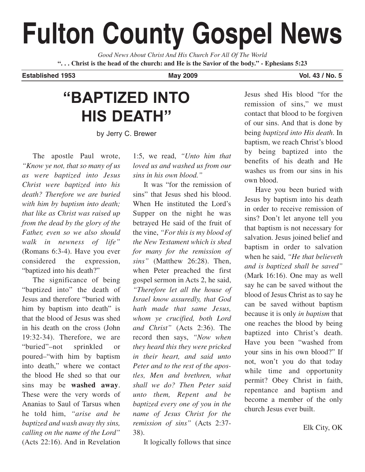# **Fulton County Gospel News**

*Good News About Christ And His Church For All Of The World* **". . . Christ is the head of the church: and He is the Savior of the body." - Ephesians 5:23**

**Established 1953 May 2009 Vol. 43 / No. 5**

## **"BAPTIZED INTO HIS DEATH"**

by Jerry C. Brewer

The apostle Paul wrote, *"Know ye not, that so many of us as were baptized into Jesus Christ were baptized into his death? Therefore we are buried with him by baptism into death; that like as Christ was raised up from the dead by the glory of the Father, even so we also should walk in newness of life"* (Romans 6:3-4). Have you ever considered the expression, "baptized into his death?"

The significance of being "baptized into" the death of Jesus and therefore "buried with him by baptism into death" is that the blood of Jesus was shed in his death on the cross (John 19:32-34). Therefore, we are "buried"–not sprinkled or poured–"with him by baptism into death," where we contact the blood He shed so that our sins may be **washed away**. These were the very words of Ananias to Saul of Tarsus when he told him, *"arise and be baptized and wash away thy sins, calling on the name of the Lord"* (Acts 22:16). And in Revelation

1:5, we read, *"Unto him that loved us and washed us from our sins in his own blood."*

It was "for the remission of sins" that Jesus shed his blood. When He instituted the Lord's Supper on the night he was betrayed He said of the fruit of the vine, *"For this is my blood of the New Testament which is shed for many for the remission of sins"* (Matthew 26:28). Then, when Peter preached the first gospel sermon in Acts 2, he said, *"Therefore let all the house of Israel know assuredly, that God hath made that same Jesus, whom ye crucified, both Lord and Christ"* (Acts 2:36). The record then says, *"Now when they heard this they were pricked in their heart, and said unto Peter and to the rest of the apostles, Men and brethren, what shall we do? Then Peter said unto them, Repent and be baptized every one of you in the name of Jesus Christ for the remission of sins"* (Acts 2:37- 38).

It logically follows that since

Jesus shed His blood "for the remission of sins," we must contact that blood to be forgiven of our sins. And that is done by being *baptized into His death*. In baptism, we reach Christ's blood by being baptized into the benefits of his death and He washes us from our sins in his own blood.

Have you been buried with Jesus by baptism into his death in order to receive remission of sins? Don't let anyone tell you that baptism is not necessary for salvation. Jesus joined belief and baptism in order to salvation when he said, *"He that believeth and is baptized shall be saved"* (Mark 16:16). One may as well say he can be saved without the blood of Jesus Christ as to say he can be saved without baptism because it is only *in baptism* that one reaches the blood by being baptized into Christ's death. Have you been "washed from your sins in his own blood?" If not, won't you do that today while time and opportunity permit? Obey Christ in faith, repentance and baptism and become a member of the only church Jesus ever built.

Elk City, OK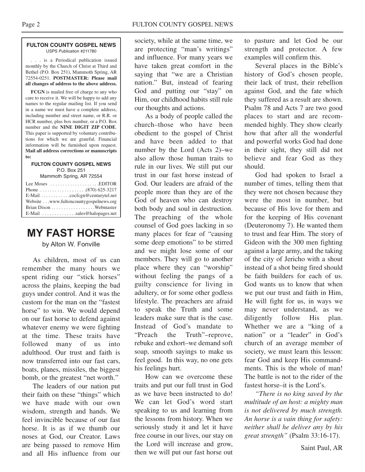#### **FULTON COUNTY GOSPEL NEWS** USPS Publication #211780

. . . is a Periodical publication issued monthly by the Church of Christ at Third and Bethel (P.O. Box 251), Mammoth Spring, AR 72554-0251. **POSTMASTER: Please mail all changes of address to the above address.**

**FCGN** is mailed free of charge to any who care to receive it. We will be happy to add any names to the regular mailing list. If you send in a name we must have a complete address, including number and street name, or R.R. or HCR number, plus box number, or a P.O. Box number and the **NINE DIGIT ZIP CODE**. This paper is supported by voluntary contributions for which we are grateful. Financial information will be furnished upon request. **Mail all address corrections or manuscripts to:**

#### **FULTON COUNTY GOSPEL NEWS** P.O. Box 251

Mammoth Spring, AR 72554

| Lee Moses $\dots\dots\dots\dots\dots\dots$ . EDITOR             |  |
|-----------------------------------------------------------------|--|
|                                                                 |  |
| E-Mail cocfcgn@centurytel.net                                   |  |
| Website www.fultoncountygospelnews.org                          |  |
|                                                                 |  |
| $E$ -Mail $\ldots$ , $\ldots$ , $\ldots$ , sales @halopages.net |  |

## **MY FAST HORSE**

by Alton W. Fonville

As children, most of us can remember the many hours we spent riding our "stick horses" across the plains, keeping the bad guys under control. And it was the custom for the man on the "fastest horse" to win. We would depend on our fast horse to defend against whatever enemy we were fighting at the time. These traits have followed many of us into adulthood. Our trust and faith is now transferred into our fast cars, boats, planes, missiles, the biggest bomb, or the greatest "net worth."

The leaders of our nation put their faith on these "things" which we have made with our own wisdom, strength and hands. We feel invincible because of our fast horse. It is as if we thumb our noses at God, our Creator. Laws are being passed to remove Him and all His influence from our

society, while at the same time, we are protecting "man's writings" and influence. For many years we have taken great comfort in the saying that "we are a Christian nation." But, instead of fearing God and putting our "stay" on Him, our childhood habits still rule our thoughts and actions.

As a body of people called the church–those who have been obedient to the gospel of Christ and have been added to that number by the Lord (Acts 2)–we also allow those human traits to rule in our lives. We still put our trust in our fast horse instead of God. Our leaders are afraid of the people more than they are of the God of heaven who can destroy both body and soul in destruction. The preaching of the whole counsel of God goes lacking in so many places for fear of "causing some deep emotions" to be stirred and we might lose some of our members. They will go to another place where they can "worship" without feeling the pangs of a guilty conscience for living in adultery, or for some other godless lifestyle. The preachers are afraid to speak the Truth and some leaders make sure that is the case. Instead of God's mandate to "Preach the Truth"–reprove, rebuke and exhort–we demand soft soap, smooth sayings to make us feel good. In this way, no one gets his feelings hurt.

How can we overcome these traits and put our full trust in God as we have been instructed to do! We can let God's word start speaking to us and learning from the lessons from history. When we seriously study it and let it have free course in our lives, our stay on the Lord will increase and grow, then we will put our fast horse out

to pasture and let God be our strength and protector. A few examples will confirm this.

Several places in the Bible's history of God's chosen people, their lack of trust, their rebellion against God, and the fate which they suffered as a result are shown. Psalm 78 and Acts 7 are two good places to start and are recommended highly. They show clearly how that after all the wonderful and powerful works God had done in their sight, they still did not believe and fear God as they should.

God had spoken to Israel a number of times, telling them that they were not chosen because they were the most in number, but because of His love for them and for the keeping of His covenant (Deuteronomy 7). He wanted them to trust and fear Him. The story of Gideon with the 300 men fighting against a large army, and the taking of the city of Jericho with a shout instead of a shot being fired should be faith builders for each of us. God wants us to know that when we put our trust and faith in Him, He will fight for us, in ways we may never understand, as we diligently follow His plan. Whether we are a "king of a nation" or a "leader" in God's church of an average member of society, we must learn this lesson: fear God and keep His commandments. This is the whole of man! The battle is not to the rider of the fastest horse–it is the Lord's.

*"There is no king saved by the multitude of an host: a mighty man is not delivered by much strength. An horse is a vain thing for safety: neither shall he deliver any by his great strength"* (Psalm 33:16-17).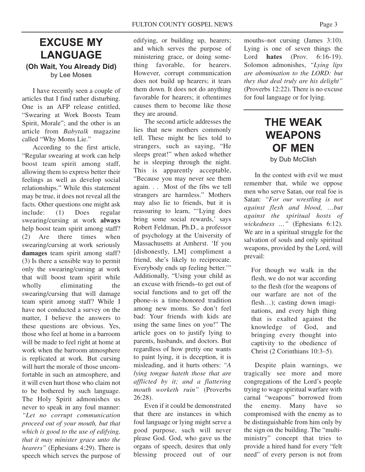## **EXCUSE MY LANGUAGE (Oh Wait, You Already Did)** by Lee Moses

I have recently seen a couple of articles that I find rather disturbing. One is an AFP release entitled, "Swearing at Work Boosts Team Spirit, Morale"; and the other is an article from *Babytalk* magazine called "Why Moms Lie."

According to the first article, "Regular swearing at work can help boost team spirit among staff, allowing them to express better their feelings as well as develop social relationships." While this statement may be true, it does not reveal all the facts. Other questions one might ask include: (1) Does regular swearing/cursing at work **always** help boost team spirit among staff? (2) Are there times when swearing/cursing at work seriously **damages** team spirit among staff? (3) Is there a sensible way to permit only the swearing/cursing at work that will boost team spirit while wholly eliminating the swearing/cursing that will damage team spirit among staff? While I have not conducted a survey on the matter, I believe the answers to these questions are obvious. Yes, those who feel at home in a barroom will be made to feel right at home at work when the barroom atmosphere is replicated at work. But cursing will hurt the morale of those uncomfortable in such an atmosphere, and it will even hurt those who claim not to be bothered by such language. The Holy Spirit admonishes us never to speak in any foul manner: *"Let no corrupt communication proceed out of your mouth, but that which is good to the use of edifying, that it may minister grace unto the hearers"* (Ephesians 4:29). There is speech which serves the purpose of edifying, or building up, hearers; and which serves the purpose of ministering grace, or doing something favorable, for hearers. However, corrupt communication does not build up hearers; it tears them down. It does not do anything favorable for hearers; it oftentimes causes them to become like those they are around.

The second article addresses the lies that new mothers commonly tell. These might be lies told to strangers, such as saying, "He sleeps great!" when asked whether he is sleeping through the night. This is apparently acceptable, "Because you may never see them again. . . Most of the fibs we tell strangers are harmless." Mothers may also lie to friends, but it is reassuring to learn, "'Lying does bring some social rewards,' says Robert Feldman, Ph.D., a professor of psychology at the University of Massachusetts at Amherst. 'If you [dishonestly, LM] compliment a friend, she's likely to reciprocate. Everybody ends up feeling better.'" Additionally, "Using your child as an excuse with friends–to get out of social functions and to get off the phone–is a time-honored tradition among new moms. So don't feel bad: Your friends with kids are using the same lines on you!" The article goes on to justify lying to parents, husbands, and doctors. But regardless of how pretty one wants to paint lying, it is deception, it is misleading, and it hurts others: *"A lying tongue hateth those that are afflicted by it; and a flattering mouth worketh ruin"* (Proverbs 26:28).

Even if it could be demonstrated that there are instances in which foul language or lying might serve a good purpose, such will never please God. God, who gave us the organs of speech, desires that only blessing proceed out of our

mouths–not cursing (James 3:10). Lying is one of seven things the Lord **hates** (Prov. 6:16-19). Solomon admonishes, *"Lying lips are abomination to the LORD: but they that deal truly are his delight"* (Proverbs 12:22). There is no excuse for foul language or for lying.

## **THE WEAK WEAPONS OF MEN** by Dub McClish

In the contest with evil we must remember that, while we oppose men who serve Satan, our real foe is Satan: *"For our wrestling is not against flesh and blood, …but against the spiritual hosts of wickedness …"* (Ephesians 6:12). We are in a spiritual struggle for the salvation of souls and only spiritual weapons, provided by the Lord, will prevail:

For though we walk in the flesh, we do not war according to the flesh (for the weapons of our warfare are not of the flesh...); casting down imaginations, and every high thing that is exalted against the knowledge of God, and bringing every thought into captivity to the obedience of Christ (2 Corinthians 10:3–5).

Despite plain warnings, we tragically see more and more congregations of the Lord's people trying to wage spiritual warfare with carnal "weapons" borrowed from the enemy. Many have so compromised with the enemy as to be distinguishable from him only by the sign on the building. The "multiministry" concept that tries to provide a hired hand for every "felt need" of every person is not from